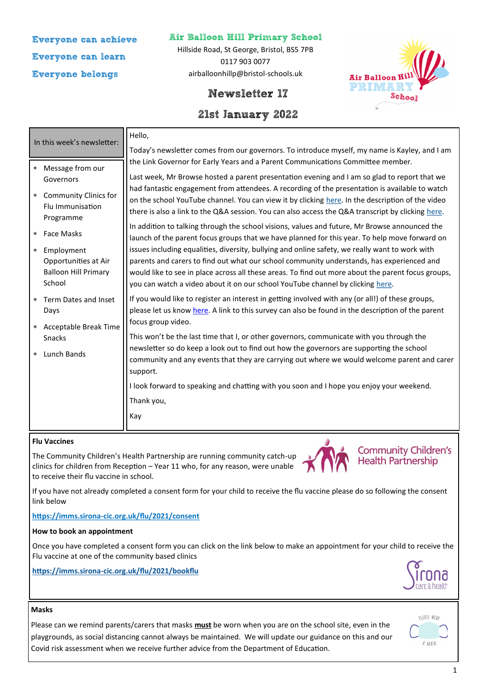# **Everyone can achieve Everyone can learn Everyone belongs**

### **Air Balloon Hill Primary School**

Hillside Road, St George, Bristol, BS5 7PB 0117 903 0077 airballoonhillp@bristol-schools.uk



# **Newsletter 17**

# **21st January 2022**

|                                                                    | In this week's newsletter:                                                                                                                                                                                                   | Hello,                                                                                                                                                                                                                                                                                                                                                                                                                                                                                                   |
|--------------------------------------------------------------------|------------------------------------------------------------------------------------------------------------------------------------------------------------------------------------------------------------------------------|----------------------------------------------------------------------------------------------------------------------------------------------------------------------------------------------------------------------------------------------------------------------------------------------------------------------------------------------------------------------------------------------------------------------------------------------------------------------------------------------------------|
|                                                                    |                                                                                                                                                                                                                              | Today's newsletter comes from our governors. To introduce myself, my name is Kayley, and I am<br>the Link Governor for Early Years and a Parent Communications Committee member.                                                                                                                                                                                                                                                                                                                         |
| $\star$<br>$\star$                                                 | Message from our<br>Governors<br><b>Community Clinics for</b><br>Flu Immunisation<br>Programme                                                                                                                               | Last week, Mr Browse hosted a parent presentation evening and I am so glad to report that we<br>had fantastic engagement from attendees. A recording of the presentation is available to watch<br>on the school YouTube channel. You can view it by clicking here. In the description of the video<br>there is also a link to the Q&A session. You can also access the Q&A transcript by clicking here.<br>In addition to talking through the school visions, values and future, Mr Browse announced the |
| $\approx$<br>$\star$                                               | <b>Face Masks</b><br>Employment<br>Opportunities at Air<br><b>Balloon Hill Primary</b><br>School                                                                                                                             | launch of the parent focus groups that we have planned for this year. To help move forward on<br>issues including equalities, diversity, bullying and online safety, we really want to work with<br>parents and carers to find out what our school community understands, has experienced and<br>would like to see in place across all these areas. To find out more about the parent focus groups,<br>you can watch a video about it on our school YouTube channel by clicking here.                    |
| * Term Dates and Inset<br>Days<br>Acceptable Break Time<br>$\star$ | If you would like to register an interest in getting involved with any (or all!) of these groups,<br>please let us know here. A link to this survey can also be found in the description of the parent<br>focus group video. |                                                                                                                                                                                                                                                                                                                                                                                                                                                                                                          |
| $\approx$                                                          | Snacks<br>Lunch Bands                                                                                                                                                                                                        | This won't be the last time that I, or other governors, communicate with you through the<br>newsletter so do keep a look out to find out how the governors are supporting the school<br>community and any events that they are carrying out where we would welcome parent and carer<br>support.                                                                                                                                                                                                          |
|                                                                    |                                                                                                                                                                                                                              | I look forward to speaking and chatting with you soon and I hope you enjoy your weekend.<br>Thank you,<br>Kay                                                                                                                                                                                                                                                                                                                                                                                            |

#### **Flu Vaccines**

The Community Children's Health Partnership are running community catch-up clinics for children from Reception – Year 11 who, for any reason, were unable to receive their flu vaccine in school.



**Community Children's Health Partnership** 

If you have not already completed a consent form for your child to receive the flu vaccine please do so following the consent link below

#### **https://imms.sirona-[cic.org.uk/flu/2021/consent](https://imms.sirona-cic.org.uk/flu/2021/consent)**

#### **How to book an appointment**

Once you have completed a consent form you can click on the link below to make an appointment for your child to receive the Flu vaccine at one of the community based clinics

**https://imms.sirona-[cic.org.uk/flu/2021/bookflu](https://imms.sirona-cic.org.uk/flu/2021/bookflu)**



#### **Masks**

Please can we remind parents/carers that masks **must** be worn when you are on the school site, even in the playgrounds, as social distancing cannot always be maintained. We will update our guidance on this and our Covid risk assessment when we receive further advice from the Department of Education.